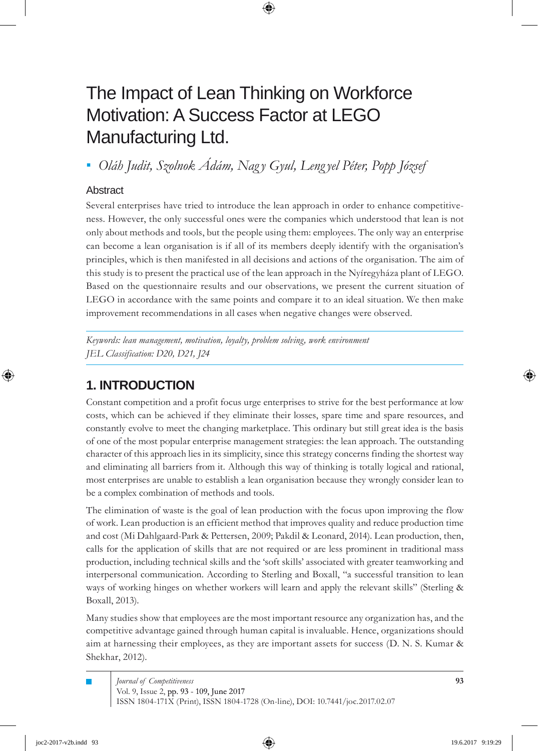# The Impact of Lean Thinking on Workforce Motivation: A Success Factor at LEGO Manufacturing Ltd.

*Oláh Judit, Szolnok Ádám, Nag y Gyula, Leng yel Péter, Popp József ▪*

## Abstract

Several enterprises have tried to introduce the lean approach in order to enhance competitiveness. However, the only successful ones were the companies which understood that lean is not only about methods and tools, but the people using them: employees. The only way an enterprise can become a lean organisation is if all of its members deeply identify with the organisation's principles, which is then manifested in all decisions and actions of the organisation. The aim of this study is to present the practical use of the lean approach in the Nyíregyháza plant of LEGO. Based on the questionnaire results and our observations, we present the current situation of LEGO in accordance with the same points and compare it to an ideal situation. We then make improvement recommendations in all cases when negative changes were observed.

*Keywords: lean management, motivation, loyalty, problem solving, work environment JEL Classification: D20, D21, J24*

## **1. INTRODUCTION**

Constant competition and a profit focus urge enterprises to strive for the best performance at low costs, which can be achieved if they eliminate their losses, spare time and spare resources, and constantly evolve to meet the changing marketplace. This ordinary but still great idea is the basis of one of the most popular enterprise management strategies: the lean approach. The outstanding character of this approach lies in its simplicity, since this strategy concerns finding the shortest way and eliminating all barriers from it. Although this way of thinking is totally logical and rational, most enterprises are unable to establish a lean organisation because they wrongly consider lean to be a complex combination of methods and tools.

The elimination of waste is the goal of lean production with the focus upon improving the flow of work. Lean production is an efficient method that improves quality and reduce production time and cost (Mi Dahlgaard-Park & Pettersen, 2009; Pakdil & Leonard, 2014). Lean production, then, calls for the application of skills that are not required or are less prominent in traditional mass production, including technical skills and the 'soft skills' associated with greater teamworking and interpersonal communication. According to Sterling and Boxall, "a successful transition to lean ways of working hinges on whether workers will learn and apply the relevant skills" (Sterling & Boxall, 2013).

Many studies show that employees are the most important resource any organization has, and the competitive advantage gained through human capital is invaluable. Hence, organizations should aim at harnessing their employees, as they are important assets for success (D. N. S. Kumar & Shekhar, 2012).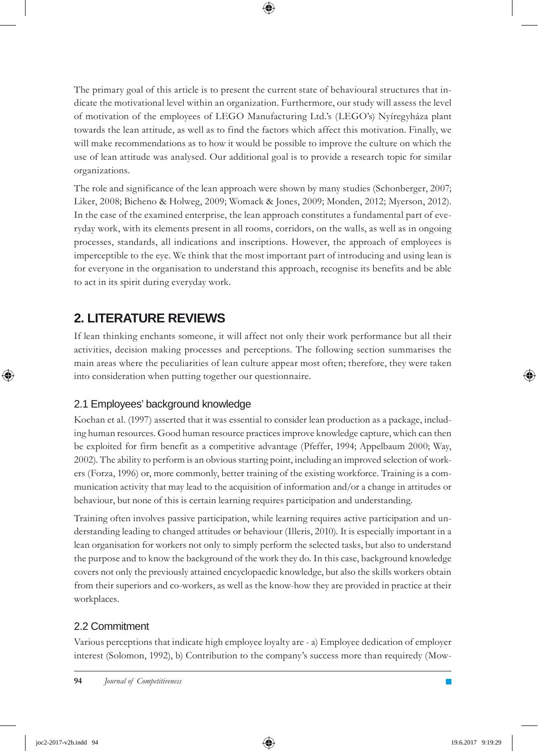The primary goal of this article is to present the current state of behavioural structures that indicate the motivational level within an organization. Furthermore, our study will assess the level of motivation of the employees of LEGO Manufacturing Ltd.'s (LEGO's) Nyíregyháza plant towards the lean attitude, as well as to find the factors which affect this motivation. Finally, we will make recommendations as to how it would be possible to improve the culture on which the use of lean attitude was analysed. Our additional goal is to provide a research topic for similar organizations.

The role and significance of the lean approach were shown by many studies (Schonberger, 2007; Liker, 2008; Bicheno & Holweg, 2009; Womack & Jones, 2009; Monden, 2012; Myerson, 2012). In the case of the examined enterprise, the lean approach constitutes a fundamental part of everyday work, with its elements present in all rooms, corridors, on the walls, as well as in ongoing processes, standards, all indications and inscriptions. However, the approach of employees is imperceptible to the eye. We think that the most important part of introducing and using lean is for everyone in the organisation to understand this approach, recognise its benefits and be able to act in its spirit during everyday work.

## **2. LITERATURE REVIEWS**

If lean thinking enchants someone, it will affect not only their work performance but all their activities, decision making processes and perceptions. The following section summarises the main areas where the peculiarities of lean culture appear most often; therefore, they were taken into consideration when putting together our questionnaire.

## 2.1 Employees' background knowledge

Kochan et al. (1997) asserted that it was essential to consider lean production as a package, including human resources. Good human resource practices improve knowledge capture, which can then be exploited for firm benefit as a competitive advantage (Pfeffer, 1994; Appelbaum 2000; Way, 2002). The ability to perform is an obvious starting point, including an improved selection of workers (Forza, 1996) or, more commonly, better training of the existing workforce. Training is a communication activity that may lead to the acquisition of information and/or a change in attitudes or behaviour, but none of this is certain learning requires participation and understanding.

Training often involves passive participation, while learning requires active participation and understanding leading to changed attitudes or behaviour (Illeris, 2010). It is especially important in a lean organisation for workers not only to simply perform the selected tasks, but also to understand the purpose and to know the background of the work they do. In this case, background knowledge covers not only the previously attained encyclopaedic knowledge, but also the skills workers obtain from their superiors and co-workers, as well as the know-how they are provided in practice at their workplaces.

## 2.2 Commitment

Various perceptions that indicate high employee loyalty are - a) Employee dedication of employer interest (Solomon, 1992), b) Contribution to the company's success more than requiredy (Mow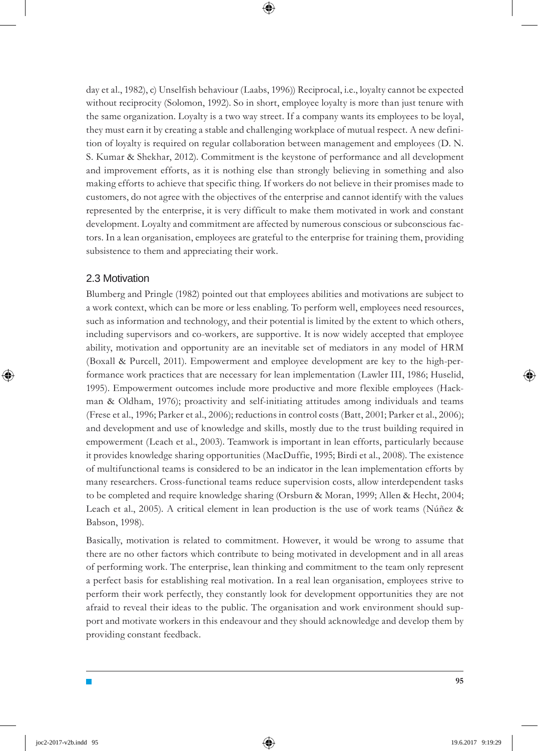day et al., 1982), c) Unselfish behaviour (Laabs, 1996)) Reciprocal, i.e., loyalty cannot be expected without reciprocity (Solomon, 1992). So in short, employee loyalty is more than just tenure with the same organization. Loyalty is a two way street. If a company wants its employees to be loyal, they must earn it by creating a stable and challenging workplace of mutual respect. A new definition of loyalty is required on regular collaboration between management and employees (D. N. S. Kumar & Shekhar, 2012). Commitment is the keystone of performance and all development and improvement efforts, as it is nothing else than strongly believing in something and also making efforts to achieve that specific thing. If workers do not believe in their promises made to customers, do not agree with the objectives of the enterprise and cannot identify with the values represented by the enterprise, it is very difficult to make them motivated in work and constant development. Loyalty and commitment are affected by numerous conscious or subconscious factors. In a lean organisation, employees are grateful to the enterprise for training them, providing subsistence to them and appreciating their work.

#### 2.3 Motivation

**I** 

Blumberg and Pringle (1982) pointed out that employees abilities and motivations are subject to a work context, which can be more or less enabling. To perform well, employees need resources, such as information and technology, and their potential is limited by the extent to which others, including supervisors and co-workers, are supportive. It is now widely accepted that employee ability, motivation and opportunity are an inevitable set of mediators in any model of HRM (Boxall & Purcell, 2011). Empowerment and employee development are key to the high-performance work practices that are necessary for lean implementation (Lawler III, 1986; Huselid, 1995). Empowerment outcomes include more productive and more flexible employees (Hackman & Oldham, 1976); proactivity and self-initiating attitudes among individuals and teams (Frese et al., 1996; Parker et al., 2006); reductions in control costs (Batt, 2001; Parker et al., 2006); and development and use of knowledge and skills, mostly due to the trust building required in empowerment (Leach et al., 2003). Teamwork is important in lean efforts, particularly because it provides knowledge sharing opportunities (MacDuffie, 1995; Birdi et al., 2008). The existence of multifunctional teams is considered to be an indicator in the lean implementation efforts by many researchers. Cross-functional teams reduce supervision costs, allow interdependent tasks to be completed and require knowledge sharing (Orsburn & Moran, 1999; Allen & Hecht, 2004; Leach et al., 2005). A critical element in lean production is the use of work teams (Núñez & Babson, 1998).

Basically, motivation is related to commitment. However, it would be wrong to assume that there are no other factors which contribute to being motivated in development and in all areas of performing work. The enterprise, lean thinking and commitment to the team only represent a perfect basis for establishing real motivation. In a real lean organisation, employees strive to perform their work perfectly, they constantly look for development opportunities they are not afraid to reveal their ideas to the public. The organisation and work environment should support and motivate workers in this endeavour and they should acknowledge and develop them by providing constant feedback.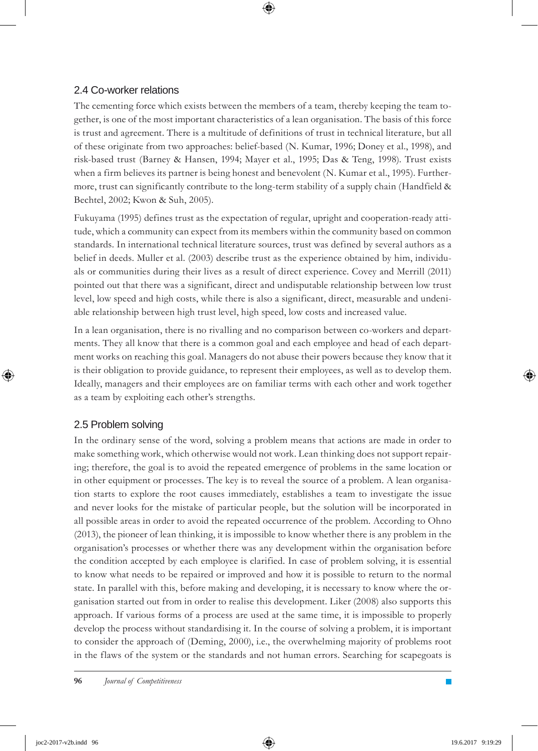### 2.4 Co-worker relations

The cementing force which exists between the members of a team, thereby keeping the team together, is one of the most important characteristics of a lean organisation. The basis of this force is trust and agreement. There is a multitude of definitions of trust in technical literature, but all of these originate from two approaches: belief-based (N. Kumar, 1996; Doney et al., 1998), and risk-based trust (Barney & Hansen, 1994; Mayer et al., 1995; Das & Teng, 1998). Trust exists when a firm believes its partner is being honest and benevolent (N. Kumar et al., 1995). Furthermore, trust can significantly contribute to the long-term stability of a supply chain (Handfield & Bechtel, 2002; Kwon & Suh, 2005).

Fukuyama (1995) defines trust as the expectation of regular, upright and cooperation-ready attitude, which a community can expect from its members within the community based on common standards. In international technical literature sources, trust was defined by several authors as a belief in deeds. Muller et al. (2003) describe trust as the experience obtained by him, individuals or communities during their lives as a result of direct experience. Covey and Merrill (2011) pointed out that there was a significant, direct and undisputable relationship between low trust level, low speed and high costs, while there is also a significant, direct, measurable and undeniable relationship between high trust level, high speed, low costs and increased value.

In a lean organisation, there is no rivalling and no comparison between co-workers and departments. They all know that there is a common goal and each employee and head of each department works on reaching this goal. Managers do not abuse their powers because they know that it is their obligation to provide guidance, to represent their employees, as well as to develop them. Ideally, managers and their employees are on familiar terms with each other and work together as a team by exploiting each other's strengths.

## 2.5 Problem solving

In the ordinary sense of the word, solving a problem means that actions are made in order to make something work, which otherwise would not work. Lean thinking does not support repairing; therefore, the goal is to avoid the repeated emergence of problems in the same location or in other equipment or processes. The key is to reveal the source of a problem. A lean organisation starts to explore the root causes immediately, establishes a team to investigate the issue and never looks for the mistake of particular people, but the solution will be incorporated in all possible areas in order to avoid the repeated occurrence of the problem. According to Ohno (2013), the pioneer of lean thinking, it is impossible to know whether there is any problem in the organisation's processes or whether there was any development within the organisation before the condition accepted by each employee is clarified. In case of problem solving, it is essential to know what needs to be repaired or improved and how it is possible to return to the normal state. In parallel with this, before making and developing, it is necessary to know where the organisation started out from in order to realise this development. Liker (2008) also supports this approach. If various forms of a process are used at the same time, it is impossible to properly develop the process without standardising it. In the course of solving a problem, it is important to consider the approach of (Deming, 2000), i.e., the overwhelming majority of problems root in the flaws of the system or the standards and not human errors. Searching for scapegoats is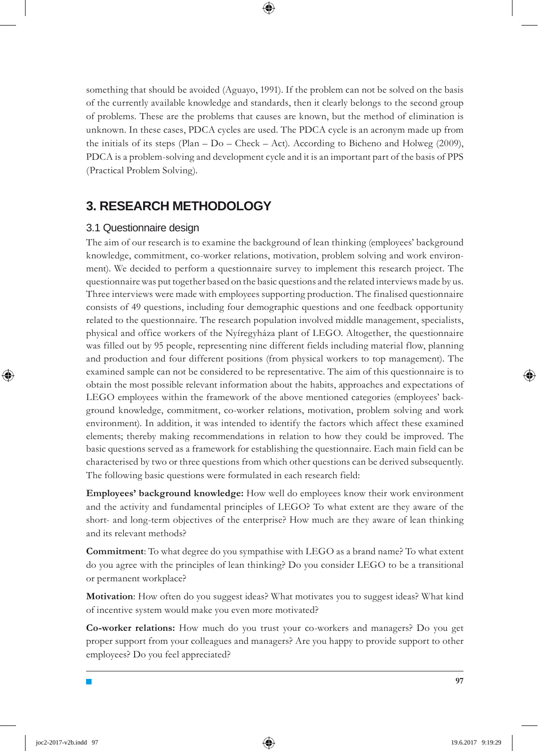something that should be avoided (Aguayo, 1991). If the problem can not be solved on the basis of the currently available knowledge and standards, then it clearly belongs to the second group of problems. These are the problems that causes are known, but the method of elimination is unknown. In these cases, PDCA cycles are used. The PDCA cycle is an acronym made up from the initials of its steps (Plan –  $Do$  – Check – Act). According to Bicheno and Holweg (2009), PDCA is a problem-solving and development cycle and it is an important part of the basis of PPS (Practical Problem Solving).

## **3. RESEARCH METHODOLOGY**

### 3.1 Questionnaire design

The aim of our research is to examine the background of lean thinking (employees' background knowledge, commitment, co-worker relations, motivation, problem solving and work environment). We decided to perform a questionnaire survey to implement this research project. The questionnaire was put together based on the basic questions and the related interviews made by us. Three interviews were made with employees supporting production. The finalised questionnaire consists of 49 questions, including four demographic questions and one feedback opportunity related to the questionnaire. The research population involved middle management, specialists, physical and office workers of the Nyíregyháza plant of LEGO. Altogether, the questionnaire was filled out by 95 people, representing nine different fields including material flow, planning and production and four different positions (from physical workers to top management). The examined sample can not be considered to be representative. The aim of this questionnaire is to obtain the most possible relevant information about the habits, approaches and expectations of LEGO employees within the framework of the above mentioned categories (employees' background knowledge, commitment, co-worker relations, motivation, problem solving and work environment). In addition, it was intended to identify the factors which affect these examined elements; thereby making recommendations in relation to how they could be improved. The basic questions served as a framework for establishing the questionnaire. Each main field can be characterised by two or three questions from which other questions can be derived subsequently. The following basic questions were formulated in each research field:

**Employees' background knowledge:** How well do employees know their work environment and the activity and fundamental principles of LEGO? To what extent are they aware of the short- and long-term objectives of the enterprise? How much are they aware of lean thinking and its relevant methods?

**Commitment**: To what degree do you sympathise with LEGO as a brand name? To what extent do you agree with the principles of lean thinking? Do you consider LEGO to be a transitional or permanent workplace?

**Motivation**: How often do you suggest ideas? What motivates you to suggest ideas? What kind of incentive system would make you even more motivated?

**Co-worker relations:** How much do you trust your co-workers and managers? Do you get proper support from your colleagues and managers? Are you happy to provide support to other employees? Do you feel appreciated?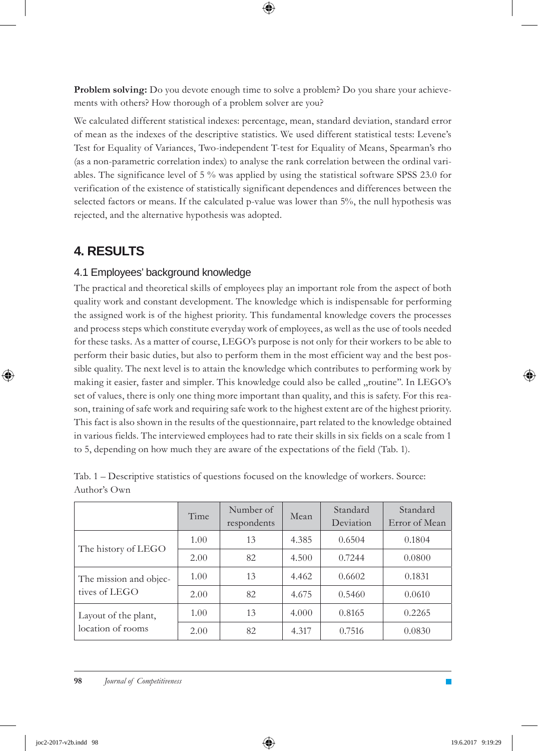**Problem solving:** Do you devote enough time to solve a problem? Do you share your achievements with others? How thorough of a problem solver are you?

We calculated different statistical indexes: percentage, mean, standard deviation, standard error of mean as the indexes of the descriptive statistics. We used different statistical tests: Levene's Test for Equality of Variances, Two-independent T-test for Equality of Means, Spearman's rho (as a non-parametric correlation index) to analyse the rank correlation between the ordinal variables. The significance level of 5 % was applied by using the statistical software SPSS 23.0 for verification of the existence of statistically significant dependences and differences between the selected factors or means. If the calculated p-value was lower than 5%, the null hypothesis was rejected, and the alternative hypothesis was adopted.

## **4. RESULTS**

## 4.1 Employees' background knowledge

The practical and theoretical skills of employees play an important role from the aspect of both quality work and constant development. The knowledge which is indispensable for performing the assigned work is of the highest priority. This fundamental knowledge covers the processes and process steps which constitute everyday work of employees, as well as the use of tools needed for these tasks. As a matter of course, LEGO's purpose is not only for their workers to be able to perform their basic duties, but also to perform them in the most efficient way and the best possible quality. The next level is to attain the knowledge which contributes to performing work by making it easier, faster and simpler. This knowledge could also be called ,,routine''. In LEGO's set of values, there is only one thing more important than quality, and this is safety. For this reason, training of safe work and requiring safe work to the highest extent are of the highest priority. This fact is also shown in the results of the questionnaire, part related to the knowledge obtained in various fields. The interviewed employees had to rate their skills in six fields on a scale from 1 to 5, depending on how much they are aware of the expectations of the field (Tab. 1).

|                                           | Time | Number of<br>respondents | Mean  | Standard<br>Deviation | Standard<br>Error of Mean |
|-------------------------------------------|------|--------------------------|-------|-----------------------|---------------------------|
| The history of LEGO                       | 1.00 | 13                       | 4.385 | 0.6504                | 0.1804                    |
|                                           | 2.00 | 82                       | 4.500 | 0.7244                | 0.0800                    |
| The mission and objec-<br>tives of LEGO   | 1.00 | 13                       | 4.462 | 0.6602                | 0.1831                    |
|                                           | 2.00 | 82                       | 4.675 | 0.5460                | 0.0610                    |
| Layout of the plant,<br>location of rooms | 1.00 | 13                       | 4.000 | 0.8165                | 0.2265                    |
|                                           | 2.00 | 82                       | 4.317 | 0.7516                | 0.0830                    |

Tab. 1 – Descriptive statistics of questions focused on the knowledge of workers. Source: Author's Own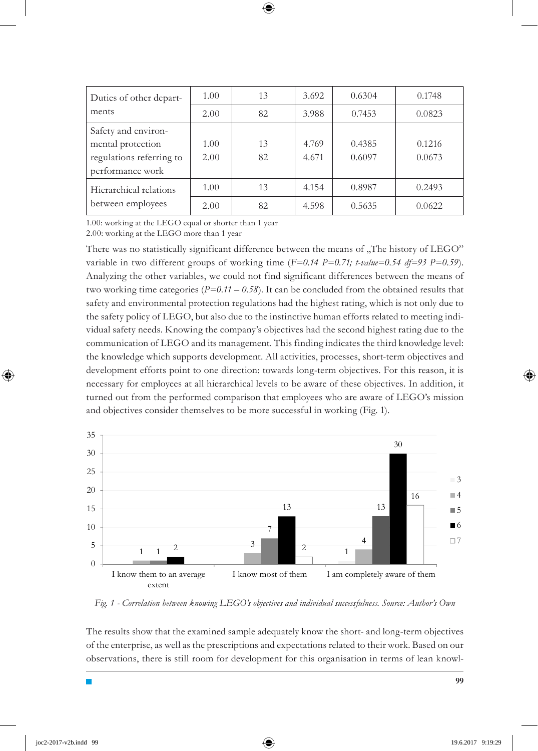| Duties of other depart-<br>ments            | 1.00 | 13 | 3.692 | 0.6304 | 0.1748 |
|---------------------------------------------|------|----|-------|--------|--------|
|                                             | 2.00 | 82 | 3.988 | 0.7453 | 0.0823 |
| Safety and environ-                         |      |    |       |        |        |
| mental protection                           | 1.00 | 13 | 4.769 | 0.4385 | 0.1216 |
| regulations referring to                    | 2.00 | 82 | 4.671 | 0.6097 | 0.0673 |
| performance work                            |      |    |       |        |        |
| Hierarchical relations<br>between employees | 1.00 | 13 | 4.154 | 0.8987 | 0.2493 |
|                                             | 2.00 | 82 | 4.598 | 0.5635 | 0.0622 |

1.00: working at the LEGO equal or shorter than 1 year

2.00: working at the LEGO more than 1 year

There was no statistically significant difference between the means of "The history of LEGO" variable in two different groups of working time (*F=0.14 P=0.71; t-value=0.54 df=93 P=0.59*). Analyzing the other variables, we could not find significant differences between the means of two working time categories (*P=0.11 – 0.58*). It can be concluded from the obtained results that safety and environmental protection regulations had the highest rating, which is not only due to the safety policy of LEGO, but also due to the instinctive human efforts related to meeting individual safety needs. Knowing the company's objectives had the second highest rating due to the communication of LEGO and its management. This finding indicates the third knowledge level: the knowledge which supports development. All activities, processes, short-term objectives and development efforts point to one direction: towards long-term objectives. For this reason, it is necessary for employees at all hierarchical levels to be aware of these objectives. In addition, it turned out from the performed comparison that employees who are aware of LEGO's mission and objectives consider themselves to be more successful in working (Fig. 1).



*Fig. 1 - Correlation between knowing LEGO's objectives and individual successfulness. Source: Author's Own*

The results show that the examined sample adequately know the short- and long-term objectives of the enterprise, as well as the prescriptions and expectations related to their work. Based on our observations, there is still room for development for this organisation in terms of lean knowl-

**99**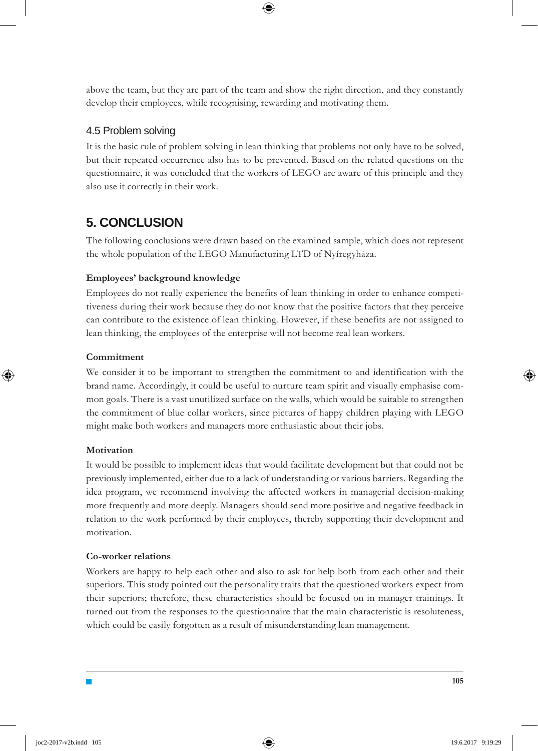above the team, but they are part of the team and show the right direction, and they constantly develop their employees, while recognising, rewarding and motivating them.

### 4.5 Problem solving

It is the basic rule of problem solving in lean thinking that problems not only have to be solved, but their repeated occurrence also has to be prevented. Based on the related questions on the questionnaire, it was concluded that the workers of LEGO are aware of this principle and they also use it correctly in their work.

## **5. CONCLUSION**

The following conclusions were drawn based on the examined sample, which does not represent the whole population of the LEGO Manufacturing LTD of Nyíregyháza.

### **Employees' background knowledge**

Employees do not really experience the benefits of lean thinking in order to enhance competitiveness during their work because they do not know that the positive factors that they perceive can contribute to the existence of lean thinking. However, if these benefits are not assigned to lean thinking, the employees of the enterprise will not become real lean workers.

#### **Commitment**

We consider it to be important to strengthen the commitment to and identification with the brand name. Accordingly, it could be useful to nurture team spirit and visually emphasise common goals. There is a vast unutilized surface on the walls, which would be suitable to strengthen the commitment of blue collar workers, since pictures of happy children playing with LEGO might make both workers and managers more enthusiastic about their jobs.

#### **Motivation**

It would be possible to implement ideas that would facilitate development but that could not be previously implemented, either due to a lack of understanding or various barriers. Regarding the idea program, we recommend involving the affected workers in managerial decision-making more frequently and more deeply. Managers should send more positive and negative feedback in relation to the work performed by their employees, thereby supporting their development and motivation.

#### **Co-worker relations**

Workers are happy to help each other and also to ask for help both from each other and their superiors. This study pointed out the personality traits that the questioned workers expect from their superiors; therefore, these characteristics should be focused on in manager trainings. It turned out from the responses to the questionnaire that the main characteristic is resoluteness, which could be easily forgotten as a result of misunderstanding lean management.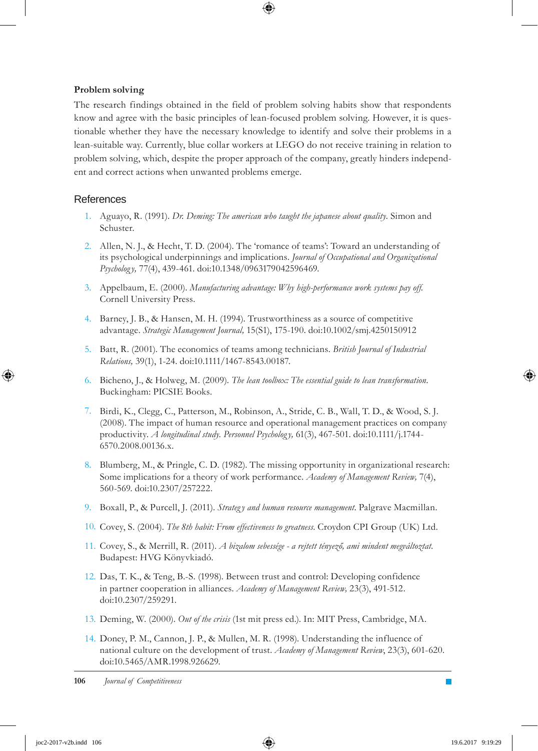#### **Problem solving**

The research findings obtained in the field of problem solving habits show that respondents know and agree with the basic principles of lean-focused problem solving. However, it is questionable whether they have the necessary knowledge to identify and solve their problems in a lean-suitable way. Currently, blue collar workers at LEGO do not receive training in relation to problem solving, which, despite the proper approach of the company, greatly hinders independent and correct actions when unwanted problems emerge.

#### **References**

- 1. Aguayo, R. (1991). *Dr. Deming: The american who taught the japanese about quality*. Simon and Schuster.
- 2. Allen, N. J., & Hecht, T. D. (2004). The 'romance of teams': Toward an understanding of its psychological underpinnings and implications. *Journal of Occupational and Organizational Psycholog y,* 77(4), 439-461. doi:10.1348/0963179042596469.
- Appelbaum, E. (2000). *Manufacturing advantage: Why high-performance work systems pay off.* 3. Cornell University Press.
- 4. Barney, J. B., & Hansen, M. H. (1994). Trustworthiness as a source of competitive advantage. *Strategic Management Journal,* 15(S1), 175-190. doi:10.1002/smj.4250150912
- 5. Batt, R. (2001). The economics of teams among technicians. *British Journal of Industrial Relations,* 39(1), 1-24. doi:10.1111/1467-8543.00187.
- Bicheno, J., & Holweg, M. (2009). *The lean toolbox: The essential guide to lean transformation.* 6. Buckingham: PICSIE Books.
- Birdi, K., Clegg, C., Patterson, M., Robinson, A., Stride, C. B., Wall, T. D., & Wood, S. J. 7. (2008). The impact of human resource and operational management practices on company productivity. *A longitudinal study. Personnel Psycholog y,* 61(3), 467-501. doi:10.1111/j.1744- 6570.2008.00136.x.
- 8. Blumberg, M., & Pringle, C. D. (1982). The missing opportunity in organizational research: Some implications for a theory of work performance. *Academy of Management Review,* 7(4), 560-569. doi:10.2307/257222.
- 9. Boxall, P., & Purcell, J. (2011). *Strategy and human resource management*. Palgrave Macmillan.
- 10. Covey, S. (2004). The 8th habit: From effectiveness to greatness. Croydon CPI Group (UK) Ltd.
- Covey, S., & Merrill, R. (2011). *A bizalom sebessége a rejtett tényező, ami mindent megváltoztat.* 11. Budapest: HVG Könyvkiadó.
- 12. Das, T. K., & Teng, B.-S. (1998). Between trust and control: Developing confidence in partner cooperation in alliances. *Academy of Management Review,* 23(3), 491-512. doi:10.2307/259291.
- Deming, W. (2000). *Out of the crisis* (1st mit press ed.). In: MIT Press, Cambridge, MA. 13.
- 14. Doney, P. M., Cannon, J. P., & Mullen, M. R. (1998). Understanding the influence of national culture on the development of trust. *Academy of Management Review*, 23(3), 601-620. doi:10.5465/AMR.1998.926629.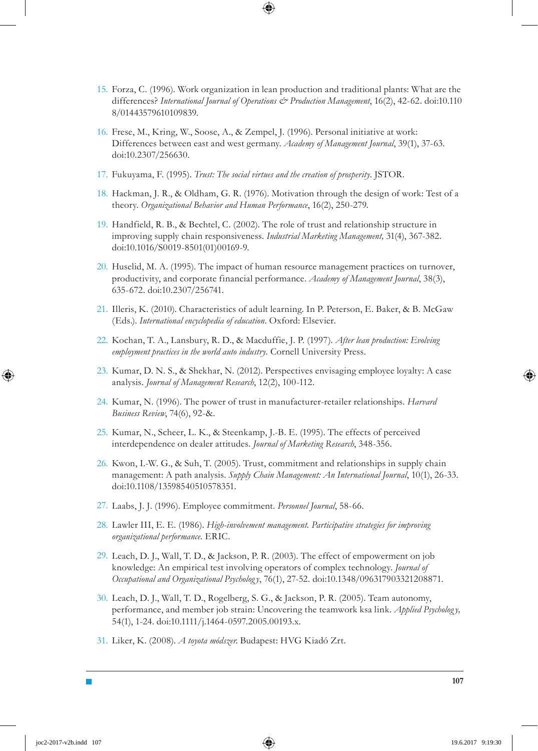- 15. Forza, C. (1996). Work organization in lean production and traditional plants: What are the differences? *International Journal of Operations & Production Management*, 16(2), 42-62. doi:10.110 8/01443579610109839.
- 16. Frese, M., Kring, W., Soose, A., & Zempel, J. (1996). Personal initiative at work: Differences between east and west germany. *Academy of Management Journal*, 39(1), 37-63. doi:10.2307/256630.
- 17. Fukuyama, F. (1995). *Trust: The social virtues and the creation of prosperity*. JSTOR.
- 18. Hackman, J. R., & Oldham, G. R. (1976). Motivation through the design of work: Test of a theory. *Organizational Behavior and Human Performance*, 16(2), 250-279.
- 19. Handfield, R. B., & Bechtel, C. (2002). The role of trust and relationship structure in improving supply chain responsiveness. *Industrial Marketing Management,* 31(4), 367-382. doi:10.1016/S0019-8501(01)00169-9.
- 20. Huselid, M. A. (1995). The impact of human resource management practices on turnover, productivity, and corporate financial performance. *Academy of Management Journal*, 38(3), 635-672. doi:10.2307/256741.
- 21. Illeris, K. (2010). Characteristics of adult learning. In P. Peterson, E. Baker, & B. McGaw (Eds.). *International encyclopedia of education*. Oxford: Elsevier.
- 22. Kochan, T. A., Lansbury, R. D., & Macduffie, J. P. (1997). After lean production: Evolving *employment practices in the world auto industry.* Cornell University Press.
- 23. Kumar, D. N. S., & Shekhar, N. (2012). Perspectives envisaging employee loyalty: A case analysis. *Journal of Management Research*, 12(2), 100-112.
- 24. Kumar, N. (1996). The power of trust in manufacturer-retailer relationships. *Harvard Business Review*, 74(6), 92-&.
- 25. Kumar, N., Scheer, L. K., & Steenkamp, J.-B. E. (1995). The effects of perceived interdependence on dealer attitudes. *Journal of Marketing Research*, 348-356.
- 26. Kwon, I.-W. G., & Suh, T. (2005). Trust, commitment and relationships in supply chain management: A path analysis. *Supply Chain Management: An International Journal*, 10(1), 26-33. doi:10.1108/13598540510578351.
- Laabs, J. J. (1996). Employee commitment. *Personnel Journal*, 58-66. 27.
- Lawler III, E. E. (1986). *High-involvement management. Participative strategies for improving*  28. *organizational performance.* ERIC.
- 29. Leach, D. J., Wall, T. D., & Jackson, P. R. (2003). The effect of empowerment on job knowledge: An empirical test involving operators of complex technology. *Journal of Occupational and Organizational Psycholog y*, 76(1), 27-52. doi:10.1348/096317903321208871.
- 30. Leach, D. J., Wall, T. D., Rogelberg, S. G., & Jackson, P. R. (2005). Team autonomy, performance, and member job strain: Uncovering the teamwork ksa link. *Applied Psycholog y,* 54(1), 1-24. doi:10.1111/j.1464-0597.2005.00193.x.
- 31. Liker, K. (2008). *A toyota módszer*. Budapest: HVG Kiadó Zrt.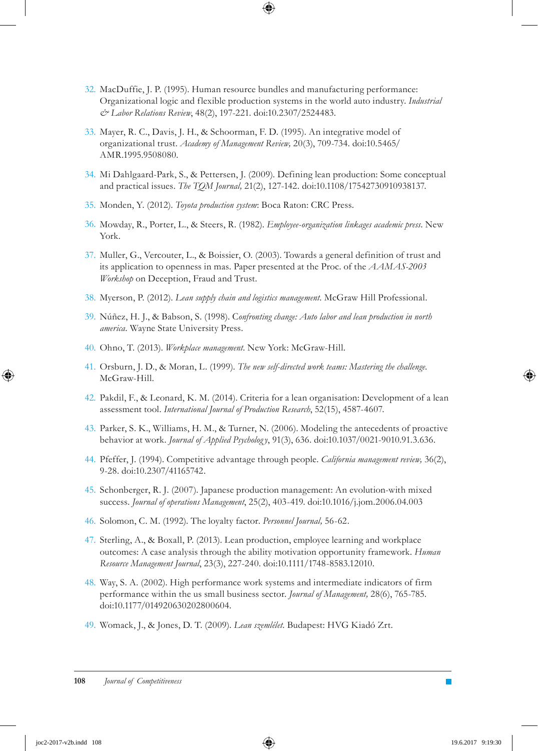- 32. MacDuffie, J. P. (1995). Human resource bundles and manufacturing performance: Organizational logic and flexible production systems in the world auto industry. *Industrial & Labor Relations Review*, 48(2), 197-221. doi:10.2307/2524483.
- 33. Mayer, R. C., Davis, J. H., & Schoorman, F. D. (1995). An integrative model of organizational trust. *Academy of Management Review,* 20(3), 709-734. doi:10.5465/ AMR.1995.9508080.
- 34. Mi Dahlgaard-Park, S., & Pettersen, J. (2009). Defining lean production: Some conceptual and practical issues. *The TQM Journal,* 21(2), 127-142. doi:10.1108/17542730910938137.
- 35. Monden, Y. (2012). *Toyota production system*: Boca Raton: CRC Press.
- 36. Mowday, R., Porter, L., & Steers, R. (1982). *Employee-organization linkages academic press*. New York.
- 37. Muller, G., Vercouter, L., & Boissier, O. (2003). Towards a general definition of trust and its application to openness in mas. Paper presented at the Proc. of the *AAMAS-2003 Workshop* on Deception, Fraud and Trust.
- Myerson, P. (2012). *Lean supply chain and logistics management.* McGraw Hill Professional. 38.
- Núñez, H. J., & Babson, S. (1998). C*onfronting change: Auto labor and lean production in north*  39. *america.* Wayne State University Press.
- 40. Ohno, T. (2013). Workplace management. New York: McGraw-Hill.
- Orsburn, J. D., & Moran, L. (1999). *The new self-directed work teams: Mastering the challenge.* 41. McGraw-Hill.
- 42. Pakdil, F., & Leonard, K. M. (2014). Criteria for a lean organisation: Development of a lean assessment tool. *International Journal of Production Research*, 52(15), 4587-4607.
- 43. Parker, S. K., Williams, H. M., & Turner, N. (2006). Modeling the antecedents of proactive behavior at work. *Journal of Applied Psycholog y*, 91(3), 636. doi:10.1037/0021-9010.91.3.636.
- 44. Pfeffer, J. (1994). Competitive advantage through people. *California management review*, 36(2), 9-28. doi:10.2307/41165742.
- 45. Schonberger, R. J. (2007). Japanese production management: An evolution-with mixed success. *Journal of operations Management*, 25(2), 403-419. doi:10.1016/j.jom.2006.04.003
- 46. Solomon, C. M. (1992). The loyalty factor. *Personnel Journal*, 56-62.
- 47. Sterling, A., & Boxall, P. (2013). Lean production, employee learning and workplace outcomes: A case analysis through the ability motivation opportunity framework. *Human Resource Management Journal*, 23(3), 227-240. doi:10.1111/1748-8583.12010.
- Way, S. A. (2002). High performance work systems and intermediate indicators of firm 48. performance within the us small business sector. *Journal of Management,* 28(6), 765-785. doi:10.1177/014920630202800604.
- 49. Womack, J., & Jones, D. T. (2009). Lean szemlélet. Budapest: HVG Kiadó Zrt.